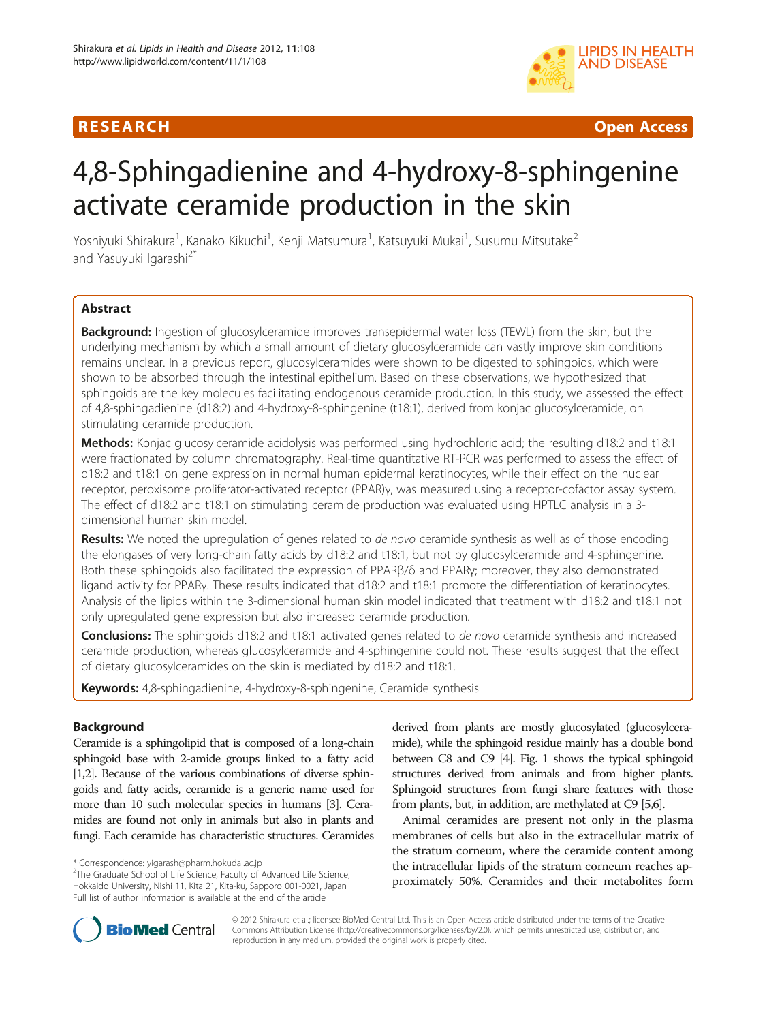# R E S EA RCH Open Access



# 4,8-Sphingadienine and 4-hydroxy-8-sphingenine activate ceramide production in the skin

Yoshiyuki Shirakura<sup>1</sup>, Kanako Kikuchi<sup>1</sup>, Kenji Matsumura<sup>1</sup>, Katsuyuki Mukai<sup>1</sup>, Susumu Mitsutake<sup>2</sup> and Yasuyuki Igarashi<sup>2\*</sup>

# Abstract

Background: Ingestion of glucosylceramide improves transepidermal water loss (TEWL) from the skin, but the underlying mechanism by which a small amount of dietary glucosylceramide can vastly improve skin conditions remains unclear. In a previous report, glucosylceramides were shown to be digested to sphingoids, which were shown to be absorbed through the intestinal epithelium. Based on these observations, we hypothesized that sphingoids are the key molecules facilitating endogenous ceramide production. In this study, we assessed the effect of 4,8-sphingadienine (d18:2) and 4-hydroxy-8-sphingenine (t18:1), derived from konjac glucosylceramide, on stimulating ceramide production.

Methods: Konjac glucosylceramide acidolysis was performed using hydrochloric acid; the resulting d18:2 and t18:1 were fractionated by column chromatography. Real-time quantitative RT-PCR was performed to assess the effect of d18:2 and t18:1 on gene expression in normal human epidermal keratinocytes, while their effect on the nuclear receptor, peroxisome proliferator-activated receptor (PPAR)γ, was measured using a receptor-cofactor assay system. The effect of d18:2 and t18:1 on stimulating ceramide production was evaluated using HPTLC analysis in a 3 dimensional human skin model.

Results: We noted the upregulation of genes related to de novo ceramide synthesis as well as of those encoding the elongases of very long-chain fatty acids by d18:2 and t18:1, but not by glucosylceramide and 4-sphingenine. Both these sphingoids also facilitated the expression of PPARβ/δ and PPARγ; moreover, they also demonstrated ligand activity for PPARγ. These results indicated that d18:2 and t18:1 promote the differentiation of keratinocytes. Analysis of the lipids within the 3-dimensional human skin model indicated that treatment with d18:2 and t18:1 not only upregulated gene expression but also increased ceramide production.

Conclusions: The sphingoids d18:2 and t18:1 activated genes related to de novo ceramide synthesis and increased ceramide production, whereas glucosylceramide and 4-sphingenine could not. These results suggest that the effect of dietary glucosylceramides on the skin is mediated by d18:2 and t18:1.

Keywords: 4,8-sphingadienine, 4-hydroxy-8-sphingenine, Ceramide synthesis

# Background

Ceramide is a sphingolipid that is composed of a long-chain sphingoid base with 2-amide groups linked to a fatty acid [[1,2\]](#page-7-0). Because of the various combinations of diverse sphingoids and fatty acids, ceramide is a generic name used for more than 10 such molecular species in humans [\[3\]](#page-7-0). Ceramides are found not only in animals but also in plants and fungi. Each ceramide has characteristic structures. Ceramides

derived from plants are mostly glucosylated (glucosylceramide), while the sphingoid residue mainly has a double bond between C8 and C9 [\[4](#page-7-0)]. Fig. [1](#page-1-0) shows the typical sphingoid structures derived from animals and from higher plants. Sphingoid structures from fungi share features with those from plants, but, in addition, are methylated at C9 [\[5,6\]](#page-7-0).

Animal ceramides are present not only in the plasma membranes of cells but also in the extracellular matrix of the stratum corneum, where the ceramide content among the intracellular lipids of the stratum corneum reaches approximately 50%. Ceramides and their metabolites form



© 2012 Shirakura et al.; licensee BioMed Central Ltd. This is an Open Access article distributed under the terms of the Creative Commons Attribution License ([http://creativecommons.org/licenses/by/2.0\)](http://creativecommons.org/licenses/by/2.0), which permits unrestricted use, distribution, and reproduction in any medium, provided the original work is properly cited.

<sup>\*</sup> Correspondence: [yigarash@pharm.hokudai.ac.jp](mailto:yigarash@pharm.hokudai.ac.jp) <sup>2</sup>

 $2$ The Graduate School of Life Science, Faculty of Advanced Life Science, Hokkaido University, Nishi 11, Kita 21, Kita-ku, Sapporo 001-0021, Japan Full list of author information is available at the end of the article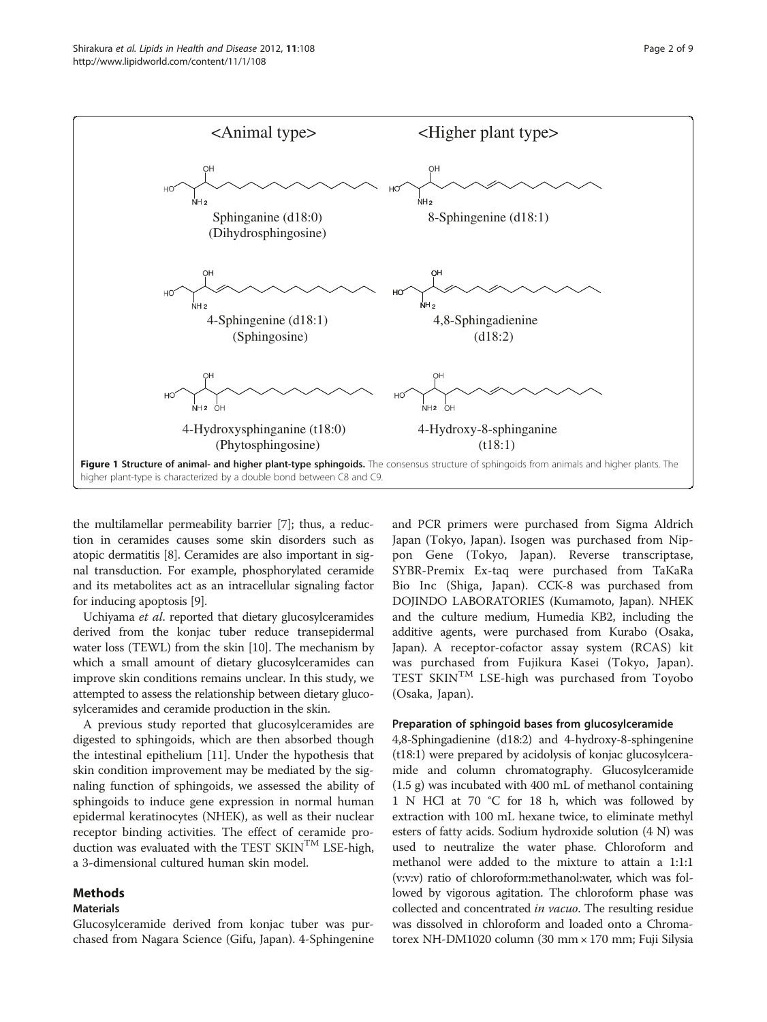<span id="page-1-0"></span>

the multilamellar permeability barrier [\[7](#page-7-0)]; thus, a reduction in ceramides causes some skin disorders such as atopic dermatitis [\[8](#page-7-0)]. Ceramides are also important in signal transduction. For example, phosphorylated ceramide and its metabolites act as an intracellular signaling factor for inducing apoptosis [\[9\]](#page-7-0).

Uchiyama et al. reported that dietary glucosylceramides derived from the konjac tuber reduce transepidermal water loss (TEWL) from the skin [\[10\]](#page-7-0). The mechanism by which a small amount of dietary glucosylceramides can improve skin conditions remains unclear. In this study, we attempted to assess the relationship between dietary glucosylceramides and ceramide production in the skin.

A previous study reported that glucosylceramides are digested to sphingoids, which are then absorbed though the intestinal epithelium [[11\]](#page-7-0). Under the hypothesis that skin condition improvement may be mediated by the signaling function of sphingoids, we assessed the ability of sphingoids to induce gene expression in normal human epidermal keratinocytes (NHEK), as well as their nuclear receptor binding activities. The effect of ceramide production was evaluated with the TEST SKIN<sup>TM</sup> LSE-high, a 3-dimensional cultured human skin model.

### Methods

#### Materials

Glucosylceramide derived from konjac tuber was purchased from Nagara Science (Gifu, Japan). 4-Sphingenine

and PCR primers were purchased from Sigma Aldrich Japan (Tokyo, Japan). Isogen was purchased from Nippon Gene (Tokyo, Japan). Reverse transcriptase, SYBR-Premix Ex-taq were purchased from TaKaRa Bio Inc (Shiga, Japan). CCK-8 was purchased from DOJINDO LABORATORIES (Kumamoto, Japan). NHEK and the culture medium, Humedia KB2, including the additive agents, were purchased from Kurabo (Osaka, Japan). A receptor-cofactor assay system (RCAS) kit was purchased from Fujikura Kasei (Tokyo, Japan). TEST SKIN<sup>TM</sup> LSE-high was purchased from Toyobo (Osaka, Japan).

#### Preparation of sphingoid bases from glucosylceramide

4,8-Sphingadienine (d18:2) and 4-hydroxy-8-sphingenine (t18:1) were prepared by acidolysis of konjac glucosylceramide and column chromatography. Glucosylceramide (1.5 g) was incubated with 400 mL of methanol containing 1 N HCl at 70 °C for 18 h, which was followed by extraction with 100 mL hexane twice, to eliminate methyl esters of fatty acids. Sodium hydroxide solution (4 N) was used to neutralize the water phase. Chloroform and methanol were added to the mixture to attain a 1:1:1 (v:v:v) ratio of chloroform:methanol:water, which was followed by vigorous agitation. The chloroform phase was collected and concentrated in vacuo. The resulting residue was dissolved in chloroform and loaded onto a Chromatorex NH-DM1020 column (30 mm × 170 mm; Fuji Silysia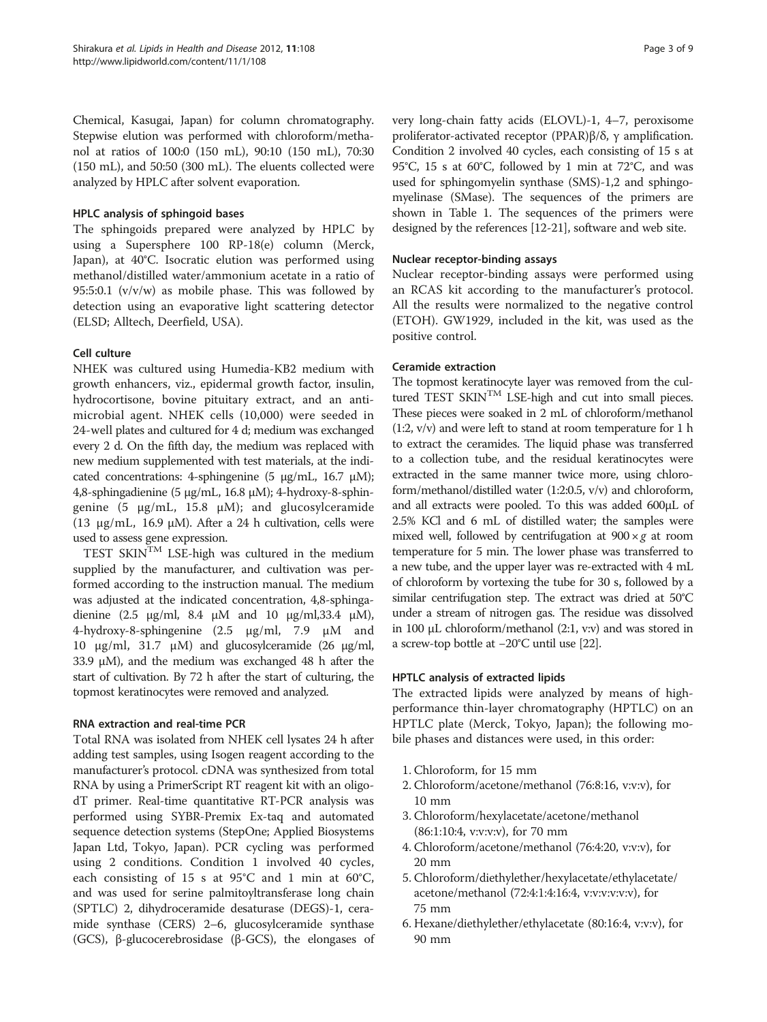Chemical, Kasugai, Japan) for column chromatography. Stepwise elution was performed with chloroform/methanol at ratios of 100:0 (150 mL), 90:10 (150 mL), 70:30 (150 mL), and 50:50 (300 mL). The eluents collected were analyzed by HPLC after solvent evaporation.

# HPLC analysis of sphingoid bases

The sphingoids prepared were analyzed by HPLC by using a Supersphere 100 RP-18(e) column (Merck, Japan), at 40°C. Isocratic elution was performed using methanol/distilled water/ammonium acetate in a ratio of 95:5:0.1 ( $v/v/w$ ) as mobile phase. This was followed by detection using an evaporative light scattering detector (ELSD; Alltech, Deerfield, USA).

# Cell culture

NHEK was cultured using Humedia-KB2 medium with growth enhancers, viz., epidermal growth factor, insulin, hydrocortisone, bovine pituitary extract, and an antimicrobial agent. NHEK cells (10,000) were seeded in 24-well plates and cultured for 4 d; medium was exchanged every 2 d. On the fifth day, the medium was replaced with new medium supplemented with test materials, at the indicated concentrations: 4-sphingenine (5 μg/mL, 16.7 μM); 4,8-sphingadienine (5 μg/mL, 16.8 μM); 4-hydroxy-8-sphingenine (5 μg/mL, 15.8 μM); and glucosylceramide (13  $\mu$ g/mL, 16.9  $\mu$ M). After a 24 h cultivation, cells were used to assess gene expression.

TEST SKIN<sup>TM</sup> LSE-high was cultured in the medium supplied by the manufacturer, and cultivation was performed according to the instruction manual. The medium was adjusted at the indicated concentration, 4,8-sphingadienine  $(2.5 \text{ µg/ml}, 8.4 \text{ µM}$  and 10  $\text{µg/ml}, 33.4 \text{ µM}$ ), 4-hydroxy-8-sphingenine (2.5 μg/ml, 7.9 μM and 10 μg/ml, 31.7 μM) and glucosylceramide (26 μg/ml, 33.9 μM), and the medium was exchanged 48 h after the start of cultivation. By 72 h after the start of culturing, the topmost keratinocytes were removed and analyzed.

#### RNA extraction and real-time PCR

Total RNA was isolated from NHEK cell lysates 24 h after adding test samples, using Isogen reagent according to the manufacturer's protocol. cDNA was synthesized from total RNA by using a PrimerScript RT reagent kit with an oligodT primer. Real-time quantitative RT-PCR analysis was performed using SYBR-Premix Ex-taq and automated sequence detection systems (StepOne; Applied Biosystems Japan Ltd, Tokyo, Japan). PCR cycling was performed using 2 conditions. Condition 1 involved 40 cycles, each consisting of 15 s at 95°C and 1 min at 60°C, and was used for serine palmitoyltransferase long chain (SPTLC) 2, dihydroceramide desaturase (DEGS)-1, ceramide synthase (CERS) 2–6, glucosylceramide synthase (GCS), β-glucocerebrosidase (β-GCS), the elongases of very long-chain fatty acids (ELOVL)-1, 4–7, peroxisome proliferator-activated receptor (PPAR)β/δ, γ amplification. Condition 2 involved 40 cycles, each consisting of 15 s at 95°C, 15 s at 60°C, followed by 1 min at 72°C, and was used for sphingomyelin synthase (SMS)-1,2 and sphingomyelinase (SMase). The sequences of the primers are shown in Table [1](#page-3-0). The sequences of the primers were designed by the references [\[12-21\]](#page-7-0), software and web site.

#### Nuclear receptor-binding assays

Nuclear receptor-binding assays were performed using an RCAS kit according to the manufacturer's protocol. All the results were normalized to the negative control (ETOH). GW1929, included in the kit, was used as the positive control.

#### Ceramide extraction

The topmost keratinocyte layer was removed from the cultured TEST  $SKIN<sup>TM</sup>$  LSE-high and cut into small pieces. These pieces were soaked in 2 mL of chloroform/methanol (1:2, v/v) and were left to stand at room temperature for 1 h to extract the ceramides. The liquid phase was transferred to a collection tube, and the residual keratinocytes were extracted in the same manner twice more, using chloroform/methanol/distilled water (1:2:0.5, v/v) and chloroform, and all extracts were pooled. To this was added 600μL of 2.5% KCl and 6 mL of distilled water; the samples were mixed well, followed by centrifugation at  $900 \times g$  at room temperature for 5 min. The lower phase was transferred to a new tube, and the upper layer was re-extracted with 4 mL of chloroform by vortexing the tube for 30 s, followed by a similar centrifugation step. The extract was dried at 50°C under a stream of nitrogen gas. The residue was dissolved in 100 μL chloroform/methanol (2:1, v:v) and was stored in a screw-top bottle at −20°C until use [[22](#page-7-0)].

# HPTLC analysis of extracted lipids

The extracted lipids were analyzed by means of highperformance thin-layer chromatography (HPTLC) on an HPTLC plate (Merck, Tokyo, Japan); the following mobile phases and distances were used, in this order:

- 1. Chloroform, for 15 mm
- 2. Chloroform/acetone/methanol (76:8:16, v:v:v), for 10 mm
- 3. Chloroform/hexylacetate/acetone/methanol (86:1:10:4, v:v:v:v), for 70 mm
- 4. Chloroform/acetone/methanol (76:4:20, v:v:v), for 20 mm
- 5. Chloroform/diethylether/hexylacetate/ethylacetate/ acetone/methanol (72:4:1:4:16:4, v:v:v:v:v:v), for 75 mm
- 6. Hexane/diethylether/ethylacetate (80:16:4, v:v:v), for 90 mm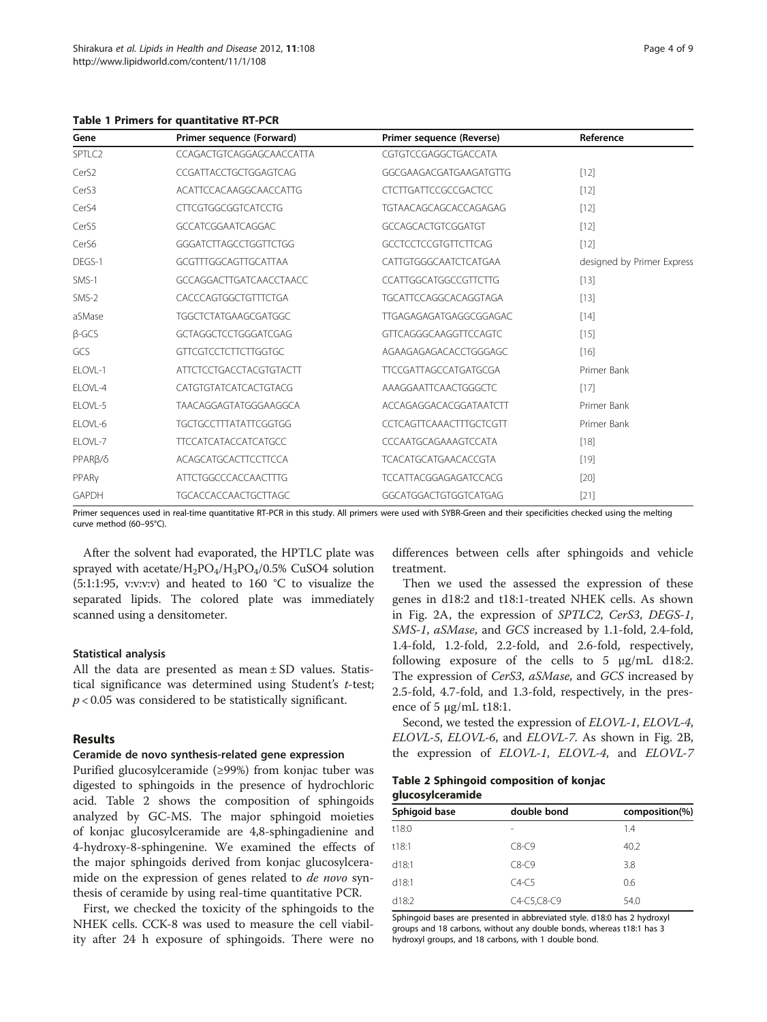<span id="page-3-0"></span>Table 1 Primers for quantitative RT-PCR

| Gene                 | Primer sequence (Forward)      | Primer sequence (Reverse)      | Reference                  |
|----------------------|--------------------------------|--------------------------------|----------------------------|
| SPTLC2               | CCAGACTGTCAGGAGCAACCATTA       | CGTGTCCGAGGCTGACCATA           |                            |
| Cer <sub>S2</sub>    | CCGATTACCTGCTGGAGTCAG          | GGCGAAGACGATGAAGATGTTG         | $[12]$                     |
| Cer <sub>S3</sub>    | ACATTCCACAAGGCAACCATTG         | <b>CTCTTGATTCCGCCGACTCC</b>    | $[12]$                     |
| Cer <sub>S4</sub>    | <b>CTTCGTGGCGGTCATCCTG</b>     | TGTAACAGCAGCACCAGAGAG          | $[12]$                     |
| CerS5                | <b>GCCATCGGAATCAGGAC</b>       | GCCAGCACTGTCGGATGT             | $[12]$                     |
| Cer <sub>S6</sub>    | GGGATCTTAGCCTGGTTCTGG          | <b>GCCTCCTCCGTGTTCTTCAG</b>    | $[12]$                     |
| DEGS-1               | GCGTTTGGCAGTTGCATTAA           | CATTGTGGGCAATCTCATGAA          | designed by Primer Express |
| SMS-1                | GCCAGGACTTGATCAACCTAACC        | <b>CCATTGGCATGGCCGTTCTTG</b>   | $[13]$                     |
| SMS-2                | CACCCAGTGGCTGTTTCTGA           | TGCATTCCAGGCACAGGTAGA          | $[13]$                     |
| aSMase               | <b>TGGCTCTATGAAGCGATGGC</b>    | TTGAGAGAGATGAGGCGGAGAC         | $[14]$                     |
| $B-GCS$              | GCTAGGCTCCTGGGATCGAG           | <b>GTTCAGGGCAAGGTTCCAGTC</b>   | $[15]$                     |
| GCS                  | GTTCGTCCTCTTCTTGGTGC           | AGAAGAGAGACACCTGGGAGC          | [16]                       |
| ELOVL-1              | <b>ATTCTCCTGACCTACGTGTACTT</b> | <b>TTCCGATTAGCCATGATGCGA</b>   | Primer Bank                |
| ELOVL-4              | CATGTGTATCATCACTGTACG          | AAAGGAATTCAACTGGGCTC           | $[17]$                     |
| ELOVL-5              | TAACAGGAGTATGGGAAGGCA          | ACCAGAGGACACGGATAATCTT         | Primer Bank                |
| ELOVL-6              | <b>TGCTGCCTTTATATTCGGTGG</b>   | <b>CCTCAGTTCAAACTTTGCTCGTT</b> | Primer Bank                |
| ELOVL-7              | <b>TTCCATCATACCATCATGCC</b>    | CCCAATGCAGAAAGTCCATA           | $[18]$                     |
| PPAR <sub>B</sub> /8 | ACAGCATGCACTTCCTTCCA           | <b>TCACATGCATGAACACCGTA</b>    | $[19]$                     |
| PPARy                | <b>ATTCTGGCCCACCAACTTTG</b>    | TCCATTACGGAGAGATCCACG          | $[20]$                     |
| <b>GAPDH</b>         | <b>TGCACCACCAACTGCTTAGC</b>    | GGCATGGACTGTGGTCATGAG          | [21]                       |

Primer sequences used in real-time quantitative RT-PCR in this study. All primers were used with SYBR-Green and their specificities checked using the melting curve method (60–95°C).

After the solvent had evaporated, the HPTLC plate was sprayed with acetate/ $H_2PO_4/H_3PO_4/0.5\%$  CuSO4 solution (5:1:1:95, v:v:v:v) and heated to 160 °C to visualize the separated lipids. The colored plate was immediately scanned using a densitometer.

#### Statistical analysis

All the data are presented as mean ± SD values. Statistical significance was determined using Student's t-test;  $p < 0.05$  was considered to be statistically significant.

#### Results

#### Ceramide de novo synthesis-related gene expression

Purified glucosylceramide (≥99%) from konjac tuber was digested to sphingoids in the presence of hydrochloric acid. Table 2 shows the composition of sphingoids analyzed by GC-MS. The major sphingoid moieties of konjac glucosylceramide are 4,8-sphingadienine and 4-hydroxy-8-sphingenine. We examined the effects of the major sphingoids derived from konjac glucosylceramide on the expression of genes related to de novo synthesis of ceramide by using real-time quantitative PCR.

First, we checked the toxicity of the sphingoids to the NHEK cells. CCK-8 was used to measure the cell viability after 24 h exposure of sphingoids. There were no differences between cells after sphingoids and vehicle treatment.

Then we used the assessed the expression of these genes in d18:2 and t18:1-treated NHEK cells. As shown in Fig. [2A](#page-4-0), the expression of SPTLC2, CerS3, DEGS-1, SMS-1, aSMase, and GCS increased by 1.1-fold, 2.4-fold, 1.4-fold, 1.2-fold, 2.2-fold, and 2.6-fold, respectively, following exposure of the cells to 5 μg/mL d18:2. The expression of CerS3, aSMase, and GCS increased by 2.5-fold, 4.7-fold, and 1.3-fold, respectively, in the presence of 5  $\mu$ g/mL t18:1.

Second, we tested the expression of ELOVL-1, ELOVL-4, ELOVL-5, ELOVL-6, and ELOVL-7. As shown in Fig. [2B](#page-4-0), the expression of ELOVL-1, ELOVL-4, and ELOVL-7

#### Table 2 Sphingoid composition of konjac glucosylceramide

| Sphigoid base | double bond | composition(%) |
|---------------|-------------|----------------|
| t18:0         |             | 1.4            |
| t18:1         | $C8-C9$     | 40.2           |
| d18:1         | $C8-C9$     | 3.8            |
| d18:1         | $C4-C5$     | 0.6            |
| d18:2         | C4-C5,C8-C9 | 54.0           |

Sphingoid bases are presented in abbreviated style. d18:0 has 2 hydroxyl groups and 18 carbons, without any double bonds, whereas t18:1 has 3 hydroxyl groups, and 18 carbons, with 1 double bond.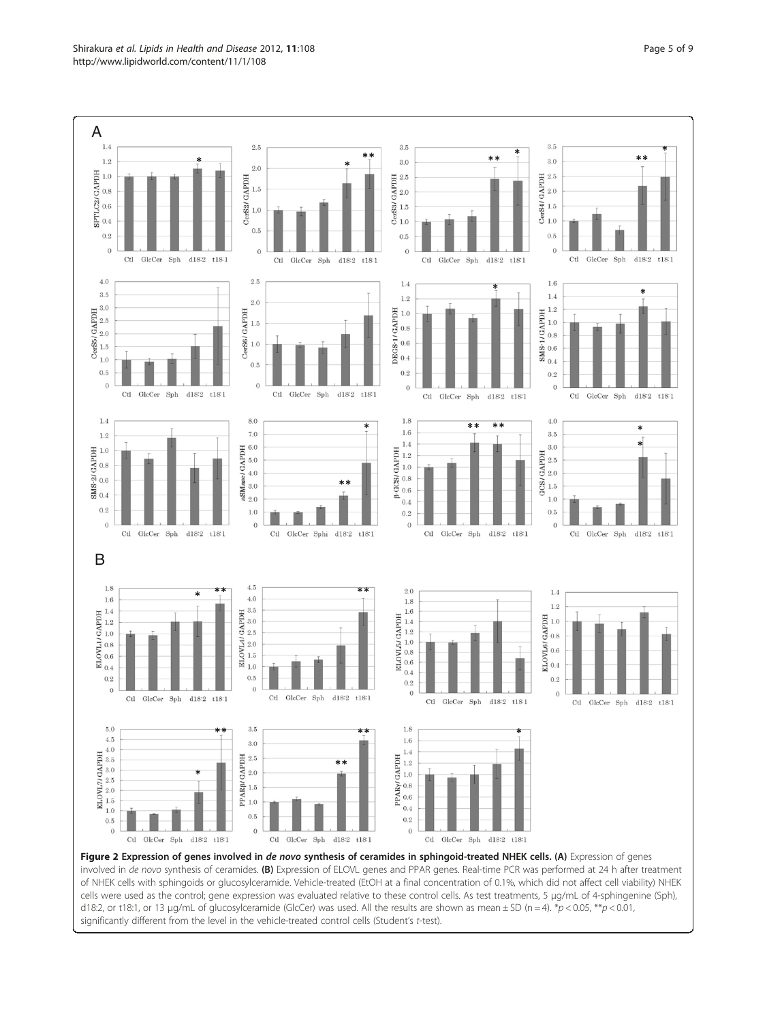<span id="page-4-0"></span>

Figure 2 Expression of genes involved in de novo synthesis of ceramides in sphingoid-treated NHEK cells. (A) Expression of genes involved in de novo synthesis of ceramides. (B) Expression of ELOVL genes and PPAR genes. Real-time PCR was performed at 24 h after treatment of NHEK cells with sphingoids or glucosylceramide. Vehicle-treated (EtOH at a final concentration of 0.1%, which did not affect cell viability) NHEK cells were used as the control; gene expression was evaluated relative to these control cells. As test treatments, 5 μg/mL of 4-sphingenine (Sph), d18:2, or t18:1, or 13 µg/mL of glucosylceramide (GlcCer) was used. All the results are shown as mean  $\pm$  SD (n = 4). \*p < 0.05, \*\*p < 0.01, significantly different from the level in the vehicle-treated control cells (Student's t-test).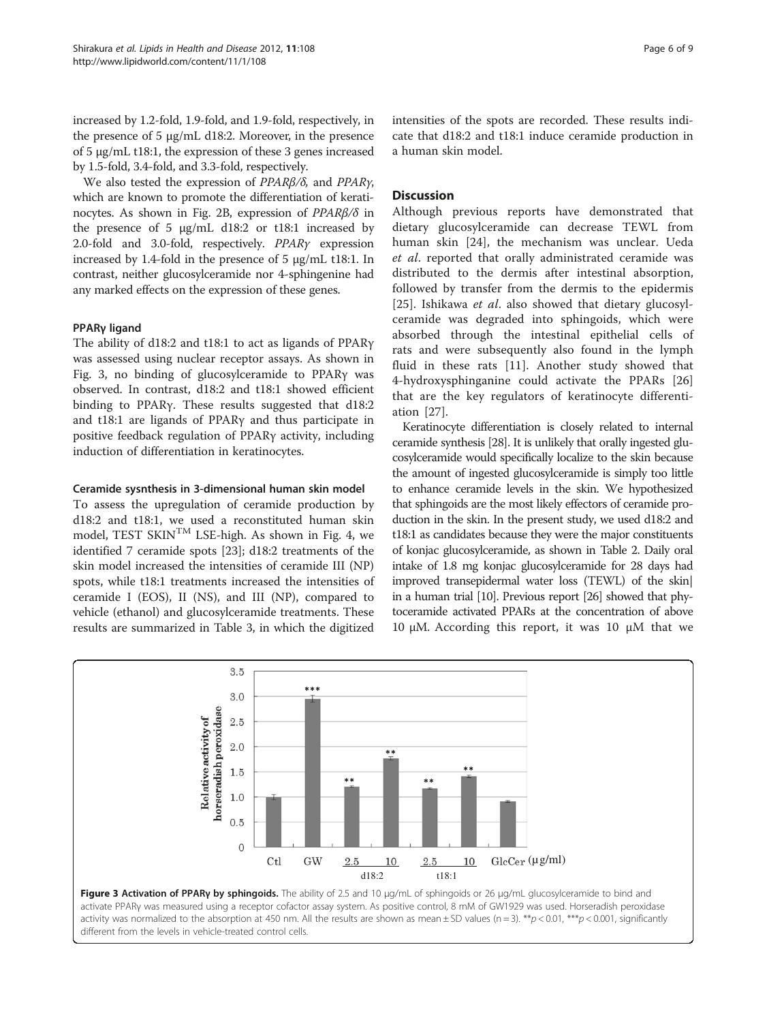increased by 1.2-fold, 1.9-fold, and 1.9-fold, respectively, in the presence of 5 μg/mL d18:2. Moreover, in the presence of 5 μg/mL t18:1, the expression of these 3 genes increased by 1.5-fold, 3.4-fold, and 3.3-fold, respectively.

We also tested the expression of PPARβ/δ, and PPARγ, which are known to promote the differentiation of kerati-nocytes. As shown in Fig. [2B](#page-4-0), expression of  $PPARβ/δ$  in the presence of 5  $\mu$ g/mL d18:2 or t18:1 increased by 2.0-fold and 3.0-fold, respectively. PPARγ expression increased by 1.4-fold in the presence of 5 μg/mL t18:1. In contrast, neither glucosylceramide nor 4-sphingenine had any marked effects on the expression of these genes.

#### PPARγ ligand

The ability of d18:2 and t18:1 to act as ligands of PPARγ was assessed using nuclear receptor assays. As shown in Fig. 3, no binding of glucosylceramide to PPARγ was observed. In contrast, d18:2 and t18:1 showed efficient binding to PPARγ. These results suggested that d18:2 and t18:1 are ligands of PPARγ and thus participate in positive feedback regulation of PPARγ activity, including induction of differentiation in keratinocytes.

#### Ceramide sysnthesis in 3-dimensional human skin model

To assess the upregulation of ceramide production by d18:2 and t18:1, we used a reconstituted human skin model, TEST SKINTM LSE-high. As shown in Fig. [4,](#page-6-0) we identified 7 ceramide spots [\[23\]](#page-7-0); d18:2 treatments of the skin model increased the intensities of ceramide III (NP) spots, while t18:1 treatments increased the intensities of ceramide I (EOS), II (NS), and III (NP), compared to vehicle (ethanol) and glucosylceramide treatments. These results are summarized in Table [3](#page-6-0), in which the digitized intensities of the spots are recorded. These results indicate that d18:2 and t18:1 induce ceramide production in a human skin model.

#### **Discussion**

Although previous reports have demonstrated that dietary glucosylceramide can decrease TEWL from human skin [\[24\]](#page-7-0), the mechanism was unclear. Ueda et al. reported that orally administrated ceramide was distributed to the dermis after intestinal absorption, followed by transfer from the dermis to the epidermis [[25\]](#page-7-0). Ishikawa et al. also showed that dietary glucosylceramide was degraded into sphingoids, which were absorbed through the intestinal epithelial cells of rats and were subsequently also found in the lymph fluid in these rats [\[11](#page-7-0)]. Another study showed that 4-hydroxysphinganine could activate the PPARs [\[26](#page-7-0)] that are the key regulators of keratinocyte differentiation [[27\]](#page-7-0).

Keratinocyte differentiation is closely related to internal ceramide synthesis [\[28](#page-8-0)]. It is unlikely that orally ingested glucosylceramide would specifically localize to the skin because the amount of ingested glucosylceramide is simply too little to enhance ceramide levels in the skin. We hypothesized that sphingoids are the most likely effectors of ceramide production in the skin. In the present study, we used d18:2 and t18:1 as candidates because they were the major constituents of konjac glucosylceramide, as shown in Table [2](#page-3-0). Daily oral intake of 1.8 mg konjac glucosylceramide for 28 days had improved transepidermal water loss (TEWL) of the skin| in a human trial [\[10\]](#page-7-0). Previous report [[26](#page-7-0)] showed that phytoceramide activated PPARs at the concentration of above 10 μM. According this report, it was 10 μM that we



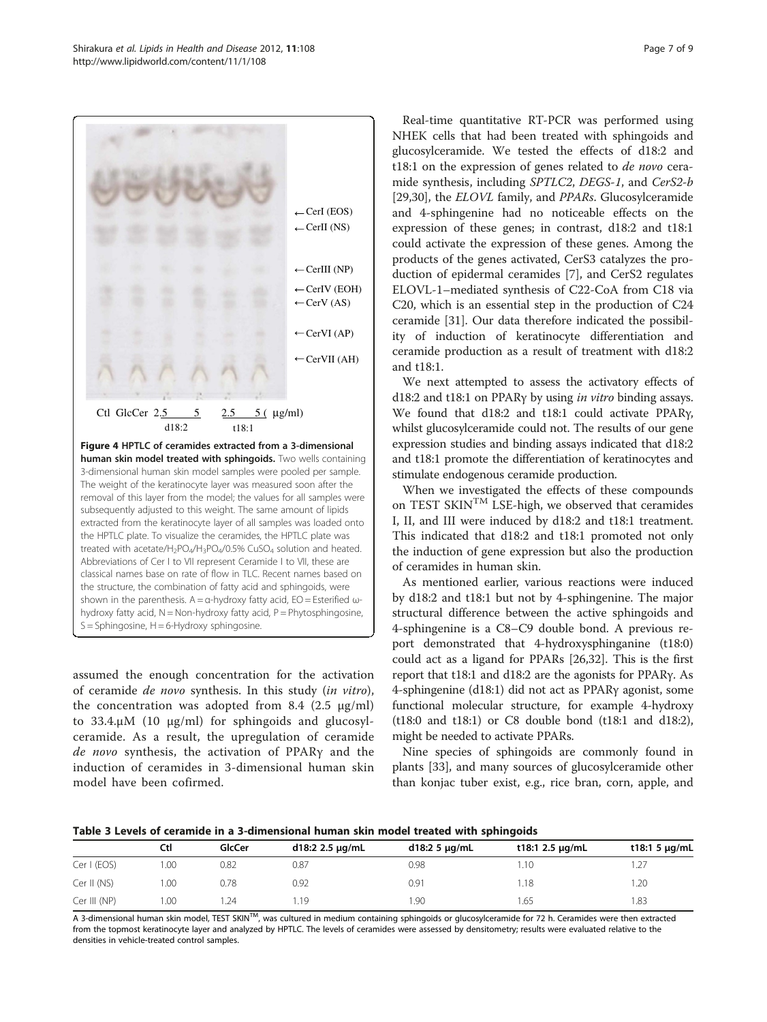<span id="page-6-0"></span>

assumed the enough concentration for the activation hydroxy fatty acid,  $N = Non-hydroxy$  fatty acid,  $P = Phytosphingosine$ ,  $S =$  Sphingosine,  $H = 6$ -Hydroxy sphingosine.

of ceramide de novo synthesis. In this study (in vitro), the concentration was adopted from 8.4 (2.5  $\mu$ g/ml) to 33.4.μM (10 μg/ml) for sphingoids and glucosylceramide. As a result, the upregulation of ceramide de novo synthesis, the activation of PPARγ and the induction of ceramides in 3-dimensional human skin model have been cofirmed.

Real-time quantitative RT-PCR was performed using NHEK cells that had been treated with sphingoids and glucosylceramide. We tested the effects of d18:2 and t18:1 on the expression of genes related to *de novo* ceramide synthesis, including SPTLC2, DEGS-1, and CerS2-b [[29,30\]](#page-8-0), the *ELOVL* family, and *PPARs*. Glucosylceramide and 4-sphingenine had no noticeable effects on the expression of these genes; in contrast, d18:2 and t18:1 could activate the expression of these genes. Among the products of the genes activated, CerS3 catalyzes the production of epidermal ceramides [\[7](#page-7-0)], and CerS2 regulates ELOVL-1–mediated synthesis of C22-CoA from C18 via C20, which is an essential step in the production of C24 ceramide [\[31](#page-8-0)]. Our data therefore indicated the possibility of induction of keratinocyte differentiation and ceramide production as a result of treatment with d18:2 and t18:1.

We next attempted to assess the activatory effects of d18:2 and t18:1 on PPARγ by using in vitro binding assays. We found that d18:2 and t18:1 could activate PPARγ, whilst glucosylceramide could not. The results of our gene expression studies and binding assays indicated that d18:2 and t18:1 promote the differentiation of keratinocytes and stimulate endogenous ceramide production.

When we investigated the effects of these compounds on TEST SKIN<sup>TM</sup> LSE-high, we observed that ceramides I, II, and III were induced by d18:2 and t18:1 treatment. This indicated that d18:2 and t18:1 promoted not only the induction of gene expression but also the production of ceramides in human skin.

As mentioned earlier, various reactions were induced by d18:2 and t18:1 but not by 4-sphingenine. The major structural difference between the active sphingoids and 4-sphingenine is a C8–C9 double bond. A previous report demonstrated that 4-hydroxysphinganine (t18:0) could act as a ligand for PPARs [\[26](#page-7-0)[,32\]](#page-8-0). This is the first report that t18:1 and d18:2 are the agonists for PPARγ. As 4-sphingenine (d18:1) did not act as PPARγ agonist, some functional molecular structure, for example 4-hydroxy (t18:0 and t18:1) or C8 double bond (t18:1 and d18:2), might be needed to activate PPARs.

Nine species of sphingoids are commonly found in plants [[33\]](#page-8-0), and many sources of glucosylceramide other than konjac tuber exist, e.g., rice bran, corn, apple, and

Table 3 Levels of ceramide in a 3-dimensional human skin model treated with sphingoids

|              | Ctl  | GlcCer | d18:2 2.5 µg/mL | $d18:25 \mu g/mL$ | t18:1 2.5 $\mu$ g/mL | t18:1 5 $\mu$ g/mL |  |
|--------------|------|--------|-----------------|-------------------|----------------------|--------------------|--|
| Cer I (EOS)  | 0.00 | 0.82   | 0.87            | 0.98              | .10                  |                    |  |
| Cer II (NS)  | 1.00 | 0.78   | 0.92            | 0.91              | ∣.18                 | .20                |  |
| Cer III (NP) | 1.00 | .24    | 1.19            | .90               | .65                  | 1.83               |  |

A 3-dimensional human skin model, TEST SKIN<sup>TM</sup>, was cultured in medium containing sphingoids or glucosylceramide for 72 h. Ceramides were then extracted from the topmost keratinocyte layer and analyzed by HPTLC. The levels of ceramides were assessed by densitometry; results were evaluated relative to the densities in vehicle-treated control samples.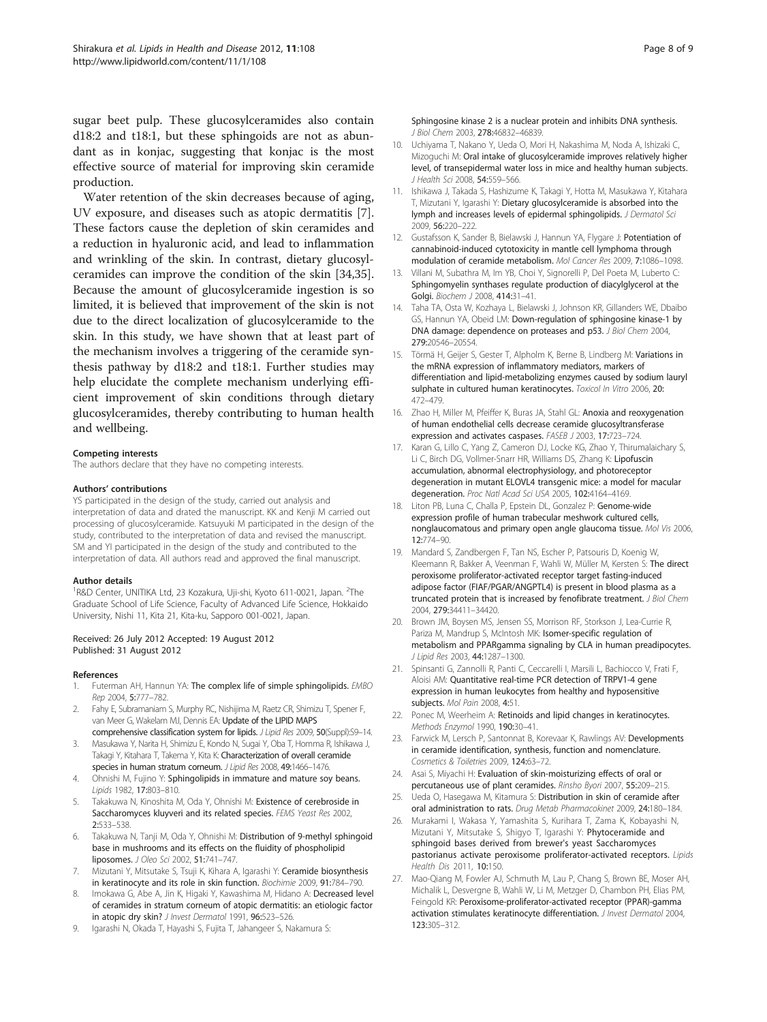<span id="page-7-0"></span>sugar beet pulp. These glucosylceramides also contain d18:2 and t18:1, but these sphingoids are not as abundant as in konjac, suggesting that konjac is the most effective source of material for improving skin ceramide production.

Water retention of the skin decreases because of aging, UV exposure, and diseases such as atopic dermatitis [7]. These factors cause the depletion of skin ceramides and a reduction in hyaluronic acid, and lead to inflammation and wrinkling of the skin. In contrast, dietary glucosylceramides can improve the condition of the skin [[34,35](#page-8-0)]. Because the amount of glucosylceramide ingestion is so limited, it is believed that improvement of the skin is not due to the direct localization of glucosylceramide to the skin. In this study, we have shown that at least part of the mechanism involves a triggering of the ceramide synthesis pathway by d18:2 and t18:1. Further studies may help elucidate the complete mechanism underlying efficient improvement of skin conditions through dietary glucosylceramides, thereby contributing to human health and wellbeing.

#### Competing interests

The authors declare that they have no competing interests.

#### Authors' contributions

YS participated in the design of the study, carried out analysis and interpretation of data and drated the manuscript. KK and Kenji M carried out processing of glucosylceramide. Katsuyuki M participated in the design of the study, contributed to the interpretation of data and revised the manuscript. SM and YI participated in the design of the study and contributed to the interpretation of data. All authors read and approved the final manuscript.

#### Author details

<sup>1</sup>R&D Center, UNITIKA Ltd, 23 Kozakura, Uji-shi, Kyoto 611-0021, Japan. <sup>2</sup>The Graduate School of Life Science, Faculty of Advanced Life Science, Hokkaido University, Nishi 11, Kita 21, Kita-ku, Sapporo 001-0021, Japan.

#### Received: 26 July 2012 Accepted: 19 August 2012 Published: 31 August 2012

#### References

- 1. Futerman AH, Hannun YA: The complex life of simple sphingolipids. EMBO Rep 2004, 5:777–782.
- 2. Fahy E, Subramaniam S, Murphy RC, Nishijima M, Raetz CR, Shimizu T, Spener F, van Meer G, Wakelam MJ, Dennis EA: Update of the LIPID MAPS
- comprehensive classification system for lipids. J Lipid Res 2009, 50(Suppl):S9-14. 3. Masukawa Y, Narita H, Shimizu E, Kondo N, Sugai Y, Oba T, Homma R, Ishikawa J, Takagi Y, Kitahara T, Takema Y, Kita K: Characterization of overall ceramide
- species in human stratum corneum. J Lipid Res 2008, 49:1466–1476. 4. Ohnishi M, Fujino Y: Sphingolipids in immature and mature soy beans.
- Lipids 1982, 17:803–810. 5. Takakuwa N, Kinoshita M, Oda Y, Ohnishi M: Existence of cerebroside in
- Saccharomyces kluyveri and its related species. FEMS Yeast Res 2002, 2:533–538.
- Takakuwa N, Tanji M, Oda Y, Ohnishi M: Distribution of 9-methyl sphingoid base in mushrooms and its effects on the fluidity of phospholipid liposomes. J Oleo Sci 2002, 51:741–747.
- 7. Mizutani Y, Mitsutake S, Tsuji K, Kihara A, Igarashi Y: Ceramide biosynthesis in keratinocyte and its role in skin function. Biochimie 2009, 91:784–790.
- 8. Imokawa G, Abe A, Jin K, Higaki Y, Kawashima M, Hidano A: Decreased level of ceramides in stratum corneum of atopic dermatitis: an etiologic factor in atopic dry skin? J Invest Dermatol 1991, 96:523-526.
- 9. Igarashi N, Okada T, Hayashi S, Fujita T, Jahangeer S, Nakamura S:

Sphingosine kinase 2 is a nuclear protein and inhibits DNA synthesis. J Biol Chem 2003, 278:46832–46839.

- 10. Uchiyama T, Nakano Y, Ueda O, Mori H, Nakashima M, Noda A, Ishizaki C, Mizoguchi M: Oral intake of glucosylceramide improves relatively higher level, of transepidermal water loss in mice and healthy human subjects. J Health Sci 2008, 54:559–566.
- 11. Ishikawa J, Takada S, Hashizume K, Takagi Y, Hotta M, Masukawa Y, Kitahara T, Mizutani Y, Igarashi Y: Dietary glucosylceramide is absorbed into the lymph and increases levels of epidermal sphingolipids. J Dermatol Sci 2009, 56:220–222.
- 12. Gustafsson K, Sander B, Bielawski J, Hannun YA, Flygare J: Potentiation of cannabinoid-induced cytotoxicity in mantle cell lymphoma through modulation of ceramide metabolism. Mol Cancer Res 2009, 7:1086–1098.
- 13. Villani M, Subathra M, Im YB, Choi Y, Signorelli P, Del Poeta M, Luberto C: Sphingomyelin synthases regulate production of diacylglycerol at the Golgi. Biochem 1 2008, 414:31-41.
- 14. Taha TA, Osta W, Kozhaya L, Bielawski J, Johnson KR, Gillanders WE, Dbaibo GS, Hannun YA, Obeid LM: Down-regulation of sphingosine kinase-1 by DNA damage: dependence on proteases and p53. J Biol Chem 2004, 279:20546–20554.
- 15. Törmä H, Geijer S, Gester T, Alpholm K, Berne B, Lindberg M: Variations in the mRNA expression of inflammatory mediators, markers of differentiation and lipid-metabolizing enzymes caused by sodium lauryl sulphate in cultured human keratinocytes. Toxicol In Vitro 2006, 20: 472–479.
- 16. Zhao H, Miller M, Pfeiffer K, Buras JA, Stahl GL: Anoxia and reoxygenation of human endothelial cells decrease ceramide glucosyltransferase expression and activates caspases. FASEB J 2003, 17:723–724.
- 17. Karan G, Lillo C, Yang Z, Cameron DJ, Locke KG, Zhao Y, Thirumalaichary S, Li C, Birch DG, Vollmer-Snarr HR, Williams DS, Zhang K: Lipofuscin accumulation, abnormal electrophysiology, and photoreceptor degeneration in mutant ELOVL4 transgenic mice: a model for macular degeneration. Proc Natl Acad Sci USA 2005, 102:4164–4169.
- 18. Liton PB, Luna C, Challa P, Epstein DL, Gonzalez P: Genome-wide expression profile of human trabecular meshwork cultured cells, nonglaucomatous and primary open angle glaucoma tissue. Mol Vis 2006, 12:774–90.
- 19. Mandard S, Zandbergen F, Tan NS, Escher P, Patsouris D, Koenig W, Kleemann R, Bakker A, Veenman F, Wahli W, Müller M, Kersten S: The direct peroxisome proliferator-activated receptor target fasting-induced adipose factor (FIAF/PGAR/ANGPTL4) is present in blood plasma as a truncated protein that is increased by fenofibrate treatment. J Biol Chem 2004, 279:34411–34420.
- 20. Brown JM, Boysen MS, Jensen SS, Morrison RF, Storkson J, Lea-Currie R, Pariza M, Mandrup S, McIntosh MK: Isomer-specific regulation of metabolism and PPARgamma signaling by CLA in human preadipocytes. J Lipid Res 2003, 44:1287–1300.
- 21. Spinsanti G, Zannolli R, Panti C, Ceccarelli I, Marsili L, Bachiocco V, Frati F, Aloisi AM: Quantitative real-time PCR detection of TRPV1-4 gene expression in human leukocytes from healthy and hyposensitive subjects. Mol Pain 2008, 4:51.
- 22. Ponec M, Weerheim A: Retinoids and lipid changes in keratinocytes. Methods Enzymol 1990, 190:30–41.
- 23. Farwick M, Lersch P, Santonnat B, Korevaar K, Rawlings AV: Developments in ceramide identification, synthesis, function and nomenclature. Cosmetics & Toiletries 2009, 124:63–72.
- 24. Asai S, Miyachi H: Evaluation of skin-moisturizing effects of oral or percutaneous use of plant ceramides. Rinsho Byori 2007, 55:209–215.
- Ueda O, Hasegawa M, Kitamura S: Distribution in skin of ceramide after oral administration to rats. Drug Metab Pharmacokinet 2009, 24:180–184.
- 26. Murakami I, Wakasa Y, Yamashita S, Kurihara T, Zama K, Kobayashi N, Mizutani Y, Mitsutake S, Shigyo T, Igarashi Y: Phytoceramide and sphingoid bases derived from brewer's yeast Saccharomyces pastorianus activate peroxisome proliferator-activated receptors. Lipids Health Dis 2011, 10:150.
- 27. Mao-Qiang M, Fowler AJ, Schmuth M, Lau P, Chang S, Brown BE, Moser AH, Michalik L, Desvergne B, Wahli W, Li M, Metzger D, Chambon PH, Elias PM, Feingold KR: Peroxisome-proliferator-activated receptor (PPAR)-gamma activation stimulates keratinocyte differentiation. J Invest Dermatol 2004, 123:305–312.